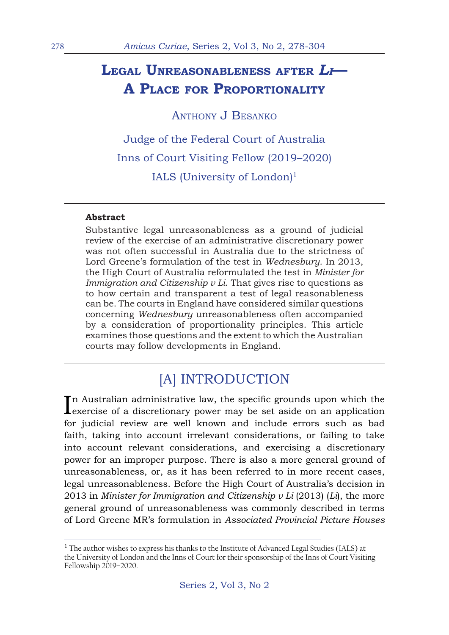## **Legal Unreasonableness after** *Li***— A Place for Proportionality**

ANTHONY J BESANKO

Judge of the Federal Court of Australia Inns of Court Visiting Fellow (2019–2020) IALS (University of London) $1$ 

#### **Abstract**

Substantive legal unreasonableness as a ground of judicial review of the exercise of an administrative discretionary power was not often successful in Australia due to the strictness of Lord Greene's formulation of the test in *Wednesbury*. In 2013, the High Court of Australia reformulated the test in *Minister for Immigration and Citizenship v Li*. That gives rise to questions as to how certain and transparent a test of legal reasonableness can be. The courts in England have considered similar questions concerning *Wednesbury* unreasonableness often accompanied by a consideration of proportionality principles. This article examines those questions and the extent to which the Australian courts may follow developments in England.

## [A] INTRODUCTION

In Australian administrative law, the specific grounds upon which the exercise of a discretionary power may be set aside on an application n Australian administrative law, the specific grounds upon which the for judicial review are well known and include errors such as bad faith, taking into account irrelevant considerations, or failing to take into account relevant considerations, and exercising a discretionary power for an improper purpose. There is also a more general ground of unreasonableness, or, as it has been referred to in more recent cases, legal unreasonableness. Before the High Court of Australia's decision in 2013 in *Minister for Immigration and Citizenship v Li* (2013) (*Li*), the more general ground of unreasonableness was commonly described in terms of Lord Greene MR's formulation in *Associated Provincial Picture Houses* 

<sup>&</sup>lt;sup>1</sup> The author wishes to express his thanks to the Institute of Advanced Legal Studies (IALS) at the University of London and the Inns of Court for their sponsorship of the Inns of Court Visiting Fellowship 2019–2020.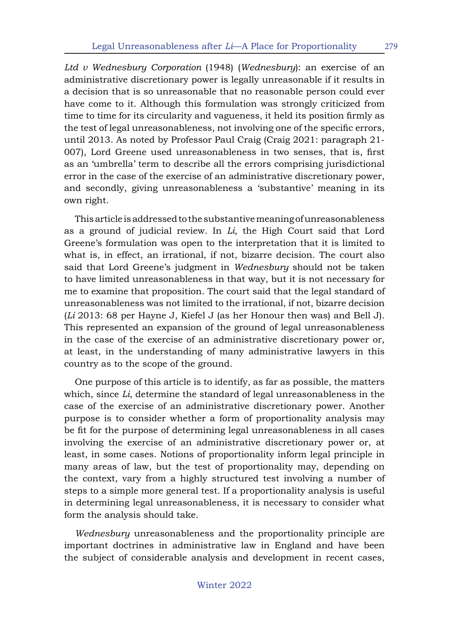*Ltd v Wednesbury Corporation* (1948) (*Wednesbury*): an exercise of an administrative discretionary power is legally unreasonable if it results in a decision that is so unreasonable that no reasonable person could ever have come to it. Although this formulation was strongly criticized from time to time for its circularity and vagueness, it held its position firmly as the test of legal unreasonableness, not involving one of the specific errors, until 2013. As noted by Professor Paul Craig (Craig 2021: paragraph 21- 007), Lord Greene used unreasonableness in two senses, that is, first as an 'umbrella' term to describe all the errors comprising jurisdictional error in the case of the exercise of an administrative discretionary power, and secondly, giving unreasonableness a 'substantive' meaning in its own right.

This article is addressed to the substantive meaning of unreasonableness as a ground of judicial review. In *Li*, the High Court said that Lord Greene's formulation was open to the interpretation that it is limited to what is, in effect, an irrational, if not, bizarre decision. The court also said that Lord Greene's judgment in *Wednesbury* should not be taken to have limited unreasonableness in that way, but it is not necessary for me to examine that proposition. The court said that the legal standard of unreasonableness was not limited to the irrational, if not, bizarre decision (*Li* 2013: 68 per Hayne J, Kiefel J (as her Honour then was) and Bell J). This represented an expansion of the ground of legal unreasonableness in the case of the exercise of an administrative discretionary power or, at least, in the understanding of many administrative lawyers in this country as to the scope of the ground.

One purpose of this article is to identify, as far as possible, the matters which, since *Li*, determine the standard of legal unreasonableness in the case of the exercise of an administrative discretionary power. Another purpose is to consider whether a form of proportionality analysis may be fit for the purpose of determining legal unreasonableness in all cases involving the exercise of an administrative discretionary power or, at least, in some cases. Notions of proportionality inform legal principle in many areas of law, but the test of proportionality may, depending on the context, vary from a highly structured test involving a number of steps to a simple more general test. If a proportionality analysis is useful in determining legal unreasonableness, it is necessary to consider what form the analysis should take.

*Wednesbury* unreasonableness and the proportionality principle are important doctrines in administrative law in England and have been the subject of considerable analysis and development in recent cases,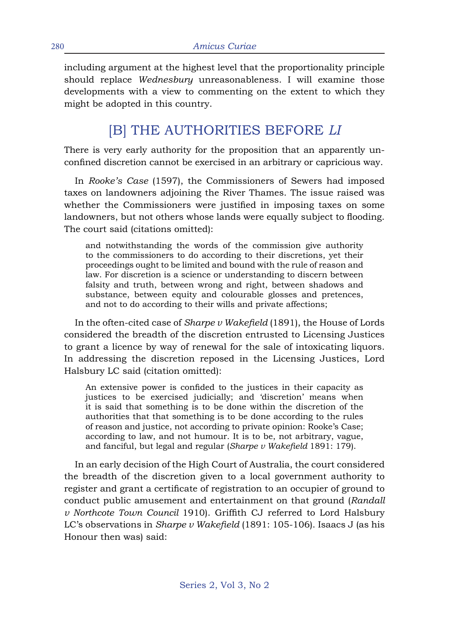including argument at the highest level that the proportionality principle should replace *Wednesbury* unreasonableness. I will examine those developments with a view to commenting on the extent to which they might be adopted in this country.

## [B] THE AUTHORITIES BEFORE *LI*

There is very early authority for the proposition that an apparently unconfined discretion cannot be exercised in an arbitrary or capricious way.

In *Rooke's Case* (1597), the Commissioners of Sewers had imposed taxes on landowners adjoining the River Thames. The issue raised was whether the Commissioners were justified in imposing taxes on some landowners, but not others whose lands were equally subject to flooding. The court said (citations omitted):

and notwithstanding the words of the commission give authority to the commissioners to do according to their discretions, yet their proceedings ought to be limited and bound with the rule of reason and law. For discretion is a science or understanding to discern between falsity and truth, between wrong and right, between shadows and substance, between equity and colourable glosses and pretences, and not to do according to their wills and private affections;

In the often-cited case of *Sharpe v Wakefield* (1891), the House of Lords considered the breadth of the discretion entrusted to Licensing Justices to grant a licence by way of renewal for the sale of intoxicating liquors. In addressing the discretion reposed in the Licensing Justices, Lord Halsbury LC said (citation omitted):

An extensive power is confided to the justices in their capacity as justices to be exercised judicially; and 'discretion' means when it is said that something is to be done within the discretion of the authorities that that something is to be done according to the rules of reason and justice, not according to private opinion: Rooke's Case; according to law, and not humour. It is to be, not arbitrary, vague, and fanciful, but legal and regular (*Sharpe v Wakefield* 1891: 179).

In an early decision of the High Court of Australia, the court considered the breadth of the discretion given to a local government authority to register and grant a certificate of registration to an occupier of ground to conduct public amusement and entertainment on that ground (*Randall v Northcote Town Council* 1910). Griffith CJ referred to Lord Halsbury LC's observations in *Sharpe v Wakefield* (1891: 105-106). Isaacs J (as his Honour then was) said: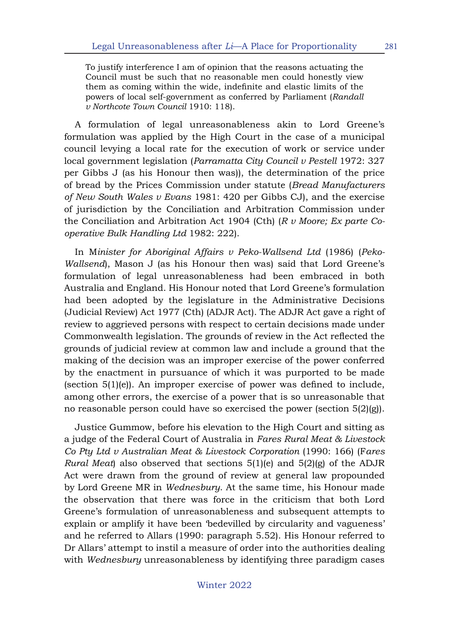To justify interference I am of opinion that the reasons actuating the Council must be such that no reasonable men could honestly view them as coming within the wide, indefinite and elastic limits of the powers of local self-government as conferred by Parliament (*Randall v Northcote Town Council* 1910: 118).

A formulation of legal unreasonableness akin to Lord Greene's formulation was applied by the High Court in the case of a municipal council levying a local rate for the execution of work or service under local government legislation (*Parramatta City Council v Pestell* 1972: 327 per Gibbs J (as his Honour then was)), the determination of the price of bread by the Prices Commission under statute (*Bread Manufacturers of New South Wales v Evans* 1981: 420 per Gibbs CJ), and the exercise of jurisdiction by the Conciliation and Arbitration Commission under the Conciliation and Arbitration Act 1904 (Cth) (*R v Moore; Ex parte Cooperative Bulk Handling Ltd* 1982: 222).

In M*inister for Aboriginal Affairs v Peko-Wallsend Ltd* (1986) (*Peko-Wallsend*), Mason J (as his Honour then was) said that Lord Greene's formulation of legal unreasonableness had been embraced in both Australia and England. His Honour noted that Lord Greene's formulation had been adopted by the legislature in the Administrative Decisions (Judicial Review) Act 1977 (Cth) (ADJR Act). The ADJR Act gave a right of review to aggrieved persons with respect to certain decisions made under Commonwealth legislation. The grounds of review in the Act reflected the grounds of judicial review at common law and include a ground that the making of the decision was an improper exercise of the power conferred by the enactment in pursuance of which it was purported to be made (section 5(1)(e)). An improper exercise of power was defined to include, among other errors, the exercise of a power that is so unreasonable that no reasonable person could have so exercised the power (section 5(2)(g)).

Justice Gummow, before his elevation to the High Court and sitting as a judge of the Federal Court of Australia in *Fares Rural Meat & Livestock Co Pty Ltd v Australian Meat & Livestock Corporation* (1990: 166) (F*ares Rural Meat*) also observed that sections 5(1)(e) and 5(2)(g) of the ADJR Act were drawn from the ground of review at general law propounded by Lord Greene MR in *Wednesbury*. At the same time, his Honour made the observation that there was force in the criticism that both Lord Greene's formulation of unreasonableness and subsequent attempts to explain or amplify it have been 'bedevilled by circularity and vagueness' and he referred to Allars (1990: paragraph 5.52). His Honour referred to Dr Allars' attempt to instil a measure of order into the authorities dealing with *Wednesbury* unreasonableness by identifying three paradigm cases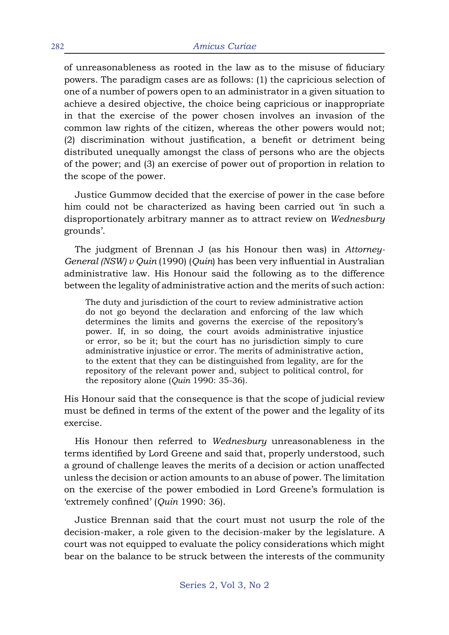of unreasonableness as rooted in the law as to the misuse of fiduciary powers. The paradigm cases are as follows: (1) the capricious selection of one of a number of powers open to an administrator in a given situation to achieve a desired objective, the choice being capricious or inappropriate in that the exercise of the power chosen involves an invasion of the common law rights of the citizen, whereas the other powers would not; (2) discrimination without justification, a benefit or detriment being distributed unequally amongst the class of persons who are the objects of the power; and (3) an exercise of power out of proportion in relation to the scope of the power.

Justice Gummow decided that the exercise of power in the case before him could not be characterized as having been carried out 'in such a disproportionately arbitrary manner as to attract review on *Wednesbury* grounds'.

The judgment of Brennan J (as his Honour then was) in *Attorney-General (NSW) v Quin* (1990) (*Quin*) has been very influential in Australian administrative law. His Honour said the following as to the difference between the legality of administrative action and the merits of such action:

The duty and jurisdiction of the court to review administrative action do not go beyond the declaration and enforcing of the law which determines the limits and governs the exercise of the repository's power. If, in so doing, the court avoids administrative injustice or error, so be it; but the court has no jurisdiction simply to cure administrative injustice or error. The merits of administrative action, to the extent that they can be distinguished from legality, are for the repository of the relevant power and, subject to political control, for the repository alone (*Quin* 1990: 35-36).

His Honour said that the consequence is that the scope of judicial review must be defined in terms of the extent of the power and the legality of its exercise.

His Honour then referred to *Wednesbury* unreasonableness in the terms identified by Lord Greene and said that, properly understood, such a ground of challenge leaves the merits of a decision or action unaffected unless the decision or action amounts to an abuse of power. The limitation on the exercise of the power embodied in Lord Greene's formulation is 'extremely confined' (*Quin* 1990: 36).

Justice Brennan said that the court must not usurp the role of the decision-maker, a role given to the decision-maker by the legislature. A court was not equipped to evaluate the policy considerations which might bear on the balance to be struck between the interests of the community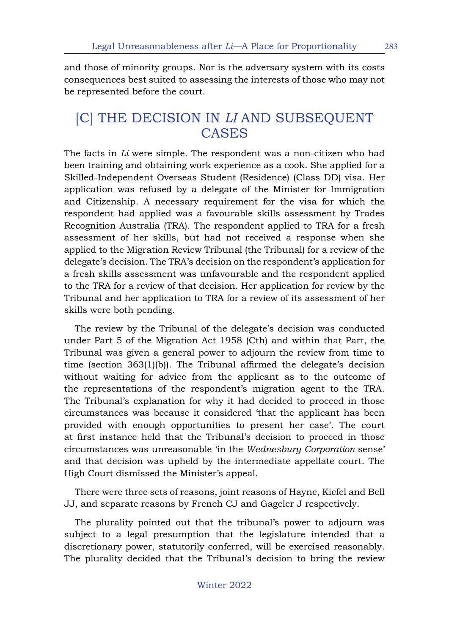and those of minority groups. Nor is the adversary system with its costs consequences best suited to assessing the interests of those who may not be represented before the court.

#### [C] THE DECISION IN *LI* AND SUBSEQUENT CASES

The facts in *Li* were simple. The respondent was a non-citizen who had been training and obtaining work experience as a cook. She applied for a Skilled-Independent Overseas Student (Residence) (Class DD) visa. Her application was refused by a delegate of the Minister for Immigration and Citizenship. A necessary requirement for the visa for which the respondent had applied was a favourable skills assessment by Trades Recognition Australia (TRA). The respondent applied to TRA for a fresh assessment of her skills, but had not received a response when she applied to the Migration Review Tribunal (the Tribunal) for a review of the delegate's decision. The TRA's decision on the respondent's application for a fresh skills assessment was unfavourable and the respondent applied to the TRA for a review of that decision. Her application for review by the Tribunal and her application to TRA for a review of its assessment of her skills were both pending.

The review by the Tribunal of the delegate's decision was conducted under Part 5 of the Migration Act 1958 (Cth) and within that Part, the Tribunal was given a general power to adjourn the review from time to time (section 363(1)(b)). The Tribunal affirmed the delegate's decision without waiting for advice from the applicant as to the outcome of the representations of the respondent's migration agent to the TRA. The Tribunal's explanation for why it had decided to proceed in those circumstances was because it considered 'that the applicant has been provided with enough opportunities to present her case'. The court at first instance held that the Tribunal's decision to proceed in those circumstances was unreasonable 'in the *Wednesbury Corporation* sense' and that decision was upheld by the intermediate appellate court. The High Court dismissed the Minister's appeal.

There were three sets of reasons, joint reasons of Hayne, Kiefel and Bell JJ, and separate reasons by French CJ and Gageler J respectively.

The plurality pointed out that the tribunal's power to adjourn was subject to a legal presumption that the legislature intended that a discretionary power, statutorily conferred, will be exercised reasonably. The plurality decided that the Tribunal's decision to bring the review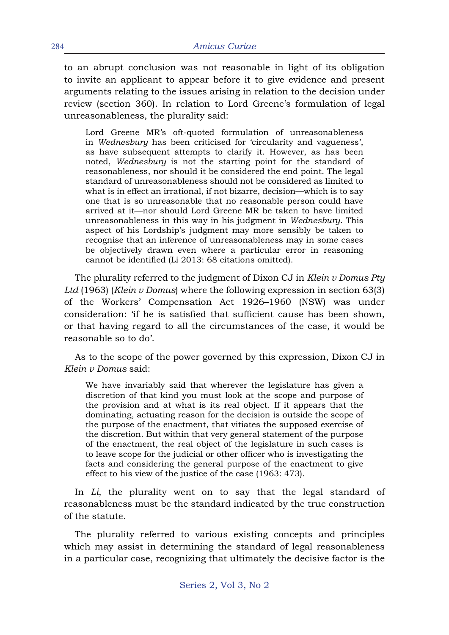to an abrupt conclusion was not reasonable in light of its obligation to invite an applicant to appear before it to give evidence and present arguments relating to the issues arising in relation to the decision under review (section 360). In relation to Lord Greene's formulation of legal unreasonableness, the plurality said:

Lord Greene MR's oft-quoted formulation of unreasonableness in *Wednesbury* has been criticised for 'circularity and vagueness', as have subsequent attempts to clarify it. However, as has been noted, *Wednesbury* is not the starting point for the standard of reasonableness, nor should it be considered the end point. The legal standard of unreasonableness should not be considered as limited to what is in effect an irrational, if not bizarre, decision—which is to say one that is so unreasonable that no reasonable person could have arrived at it—nor should Lord Greene MR be taken to have limited unreasonableness in this way in his judgment in *Wednesbury*. This aspect of his Lordship's judgment may more sensibly be taken to recognise that an inference of unreasonableness may in some cases be objectively drawn even where a particular error in reasoning cannot be identified (Li 2013: 68 citations omitted).

The plurality referred to the judgment of Dixon CJ in *Klein v Domus Pty Ltd* (1963) (*Klein v Domus*) where the following expression in section 63(3) of the Workers' Compensation Act 1926–1960 (NSW) was under consideration: 'if he is satisfied that sufficient cause has been shown, or that having regard to all the circumstances of the case, it would be reasonable so to do'.

As to the scope of the power governed by this expression, Dixon CJ in *Klein v Domus* said:

We have invariably said that wherever the legislature has given a discretion of that kind you must look at the scope and purpose of the provision and at what is its real object. If it appears that the dominating, actuating reason for the decision is outside the scope of the purpose of the enactment, that vitiates the supposed exercise of the discretion. But within that very general statement of the purpose of the enactment, the real object of the legislature in such cases is to leave scope for the judicial or other officer who is investigating the facts and considering the general purpose of the enactment to give effect to his view of the justice of the case (1963: 473).

In *Li*, the plurality went on to say that the legal standard of reasonableness must be the standard indicated by the true construction of the statute.

The plurality referred to various existing concepts and principles which may assist in determining the standard of legal reasonableness in a particular case, recognizing that ultimately the decisive factor is the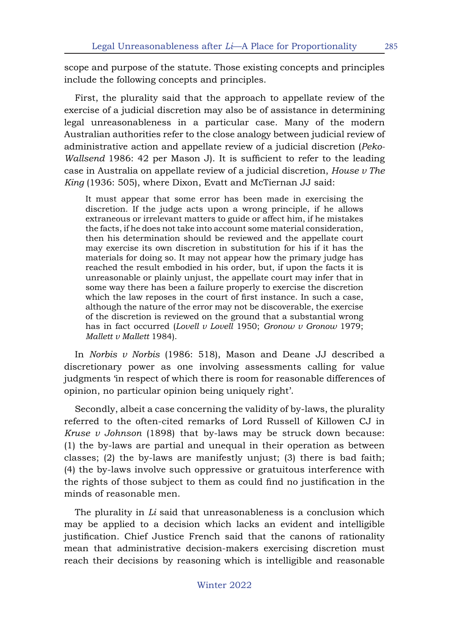scope and purpose of the statute. Those existing concepts and principles include the following concepts and principles.

First, the plurality said that the approach to appellate review of the exercise of a judicial discretion may also be of assistance in determining legal unreasonableness in a particular case. Many of the modern Australian authorities refer to the close analogy between judicial review of administrative action and appellate review of a judicial discretion (*Peko-Wallsend* 1986: 42 per Mason J). It is sufficient to refer to the leading case in Australia on appellate review of a judicial discretion, *House v The King* (1936: 505), where Dixon, Evatt and McTiernan JJ said:

It must appear that some error has been made in exercising the discretion. If the judge acts upon a wrong principle, if he allows extraneous or irrelevant matters to guide or affect him, if he mistakes the facts, if he does not take into account some material consideration, then his determination should be reviewed and the appellate court may exercise its own discretion in substitution for his if it has the materials for doing so. It may not appear how the primary judge has reached the result embodied in his order, but, if upon the facts it is unreasonable or plainly unjust, the appellate court may infer that in some way there has been a failure properly to exercise the discretion which the law reposes in the court of first instance. In such a case, although the nature of the error may not be discoverable, the exercise of the discretion is reviewed on the ground that a substantial wrong has in fact occurred (*Lovell v Lovell* 1950; *Gronow v Gronow* 1979; *Mallett v Mallett* 1984).

In *Norbis v Norbis* (1986: 518), Mason and Deane JJ described a discretionary power as one involving assessments calling for value judgments 'in respect of which there is room for reasonable differences of opinion, no particular opinion being uniquely right'.

Secondly, albeit a case concerning the validity of by-laws, the plurality referred to the often-cited remarks of Lord Russell of Killowen CJ in *Kruse v Johnson* (1898) that by-laws may be struck down because: (1) the by-laws are partial and unequal in their operation as between classes; (2) the by-laws are manifestly unjust; (3) there is bad faith; (4) the by-laws involve such oppressive or gratuitous interference with the rights of those subject to them as could find no justification in the minds of reasonable men.

The plurality in *Li* said that unreasonableness is a conclusion which may be applied to a decision which lacks an evident and intelligible justification. Chief Justice French said that the canons of rationality mean that administrative decision-makers exercising discretion must reach their decisions by reasoning which is intelligible and reasonable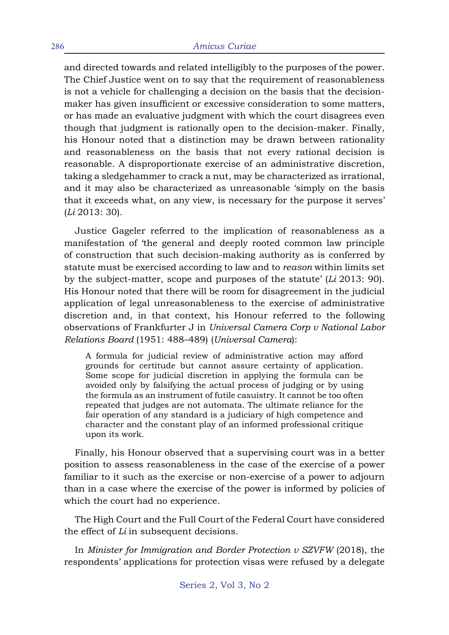and directed towards and related intelligibly to the purposes of the power. The Chief Justice went on to say that the requirement of reasonableness is not a vehicle for challenging a decision on the basis that the decisionmaker has given insufficient or excessive consideration to some matters, or has made an evaluative judgment with which the court disagrees even though that judgment is rationally open to the decision-maker. Finally, his Honour noted that a distinction may be drawn between rationality and reasonableness on the basis that not every rational decision is reasonable. A disproportionate exercise of an administrative discretion, taking a sledgehammer to crack a nut, may be characterized as irrational, and it may also be characterized as unreasonable 'simply on the basis that it exceeds what, on any view, is necessary for the purpose it serves' (*Li* 2013: 30).

Justice Gageler referred to the implication of reasonableness as a manifestation of 'the general and deeply rooted common law principle of construction that such decision-making authority as is conferred by statute must be exercised according to law and to *reason* within limits set by the subject-matter, scope and purposes of the statute' (*Li* 2013: 90). His Honour noted that there will be room for disagreement in the judicial application of legal unreasonableness to the exercise of administrative discretion and, in that context, his Honour referred to the following observations of Frankfurter J in *Universal Camera Corp v National Labor Relations Board* (1951: 488–489) (*Universal Camera*):

A formula for judicial review of administrative action may afford grounds for certitude but cannot assure certainty of application. Some scope for judicial discretion in applying the formula can be avoided only by falsifying the actual process of judging or by using the formula as an instrument of futile casuistry. It cannot be too often repeated that judges are not automata. The ultimate reliance for the fair operation of any standard is a judiciary of high competence and character and the constant play of an informed professional critique upon its work.

Finally, his Honour observed that a supervising court was in a better position to assess reasonableness in the case of the exercise of a power familiar to it such as the exercise or non-exercise of a power to adjourn than in a case where the exercise of the power is informed by policies of which the court had no experience.

The High Court and the Full Court of the Federal Court have considered the effect of *Li* in subsequent decisions.

In *Minister for Immigration and Border Protection v SZVFW* (2018), the respondents' applications for protection visas were refused by a delegate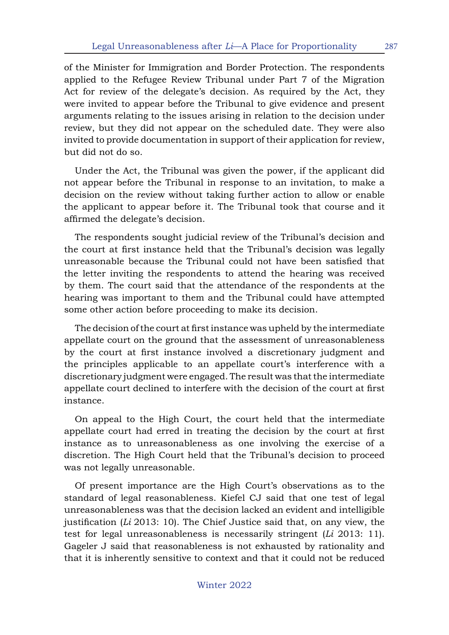of the Minister for Immigration and Border Protection. The respondents applied to the Refugee Review Tribunal under Part 7 of the Migration Act for review of the delegate's decision. As required by the Act, they were invited to appear before the Tribunal to give evidence and present arguments relating to the issues arising in relation to the decision under review, but they did not appear on the scheduled date. They were also invited to provide documentation in support of their application for review, but did not do so.

Under the Act, the Tribunal was given the power, if the applicant did not appear before the Tribunal in response to an invitation, to make a decision on the review without taking further action to allow or enable the applicant to appear before it. The Tribunal took that course and it affirmed the delegate's decision.

The respondents sought judicial review of the Tribunal's decision and the court at first instance held that the Tribunal's decision was legally unreasonable because the Tribunal could not have been satisfied that the letter inviting the respondents to attend the hearing was received by them. The court said that the attendance of the respondents at the hearing was important to them and the Tribunal could have attempted some other action before proceeding to make its decision.

The decision of the court at first instance was upheld by the intermediate appellate court on the ground that the assessment of unreasonableness by the court at first instance involved a discretionary judgment and the principles applicable to an appellate court's interference with a discretionary judgment were engaged. The result was that the intermediate appellate court declined to interfere with the decision of the court at first instance.

On appeal to the High Court, the court held that the intermediate appellate court had erred in treating the decision by the court at first instance as to unreasonableness as one involving the exercise of a discretion. The High Court held that the Tribunal's decision to proceed was not legally unreasonable.

Of present importance are the High Court's observations as to the standard of legal reasonableness. Kiefel CJ said that one test of legal unreasonableness was that the decision lacked an evident and intelligible justification (*Li* 2013: 10). The Chief Justice said that, on any view, the test for legal unreasonableness is necessarily stringent (*Li* 2013: 11). Gageler J said that reasonableness is not exhausted by rationality and that it is inherently sensitive to context and that it could not be reduced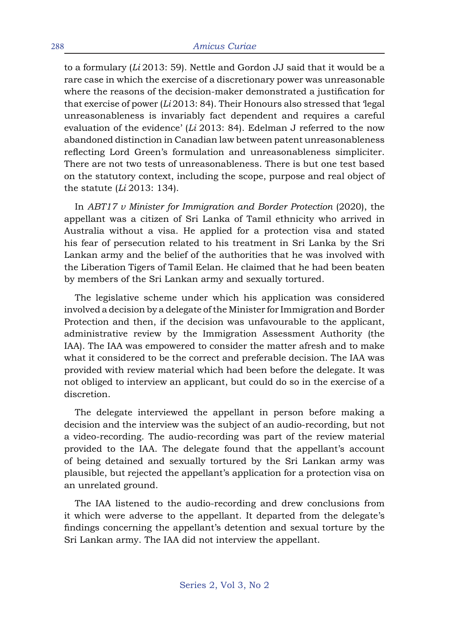to a formulary (*Li* 2013: 59). Nettle and Gordon JJ said that it would be a rare case in which the exercise of a discretionary power was unreasonable where the reasons of the decision-maker demonstrated a justification for that exercise of power (*Li* 2013: 84). Their Honours also stressed that 'legal unreasonableness is invariably fact dependent and requires a careful evaluation of the evidence' (*Li* 2013: 84). Edelman J referred to the now abandoned distinction in Canadian law between patent unreasonableness reflecting Lord Green's formulation and unreasonableness simpliciter. There are not two tests of unreasonableness. There is but one test based on the statutory context, including the scope, purpose and real object of the statute (*Li* 2013: 134).

In *ABT17 v Minister for Immigration and Border Protection* (2020), the appellant was a citizen of Sri Lanka of Tamil ethnicity who arrived in Australia without a visa. He applied for a protection visa and stated his fear of persecution related to his treatment in Sri Lanka by the Sri Lankan army and the belief of the authorities that he was involved with the Liberation Tigers of Tamil Eelan. He claimed that he had been beaten by members of the Sri Lankan army and sexually tortured.

The legislative scheme under which his application was considered involved a decision by a delegate of the Minister for Immigration and Border Protection and then, if the decision was unfavourable to the applicant, administrative review by the Immigration Assessment Authority (the IAA). The IAA was empowered to consider the matter afresh and to make what it considered to be the correct and preferable decision. The IAA was provided with review material which had been before the delegate. It was not obliged to interview an applicant, but could do so in the exercise of a discretion.

The delegate interviewed the appellant in person before making a decision and the interview was the subject of an audio-recording, but not a video-recording. The audio-recording was part of the review material provided to the IAA. The delegate found that the appellant's account of being detained and sexually tortured by the Sri Lankan army was plausible, but rejected the appellant's application for a protection visa on an unrelated ground.

The IAA listened to the audio-recording and drew conclusions from it which were adverse to the appellant. It departed from the delegate's findings concerning the appellant's detention and sexual torture by the Sri Lankan army. The IAA did not interview the appellant.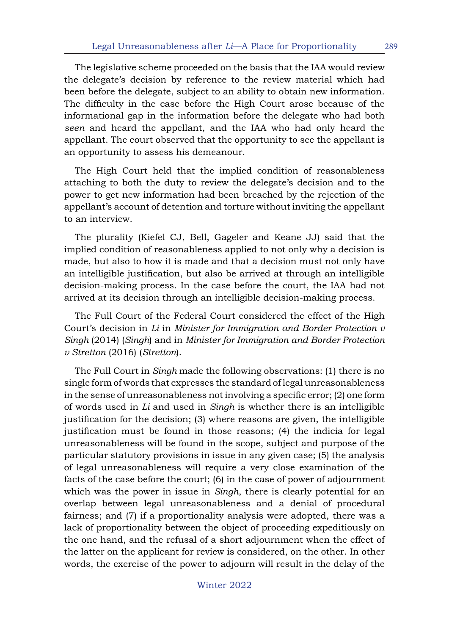The legislative scheme proceeded on the basis that the IAA would review the delegate's decision by reference to the review material which had been before the delegate, subject to an ability to obtain new information. The difficulty in the case before the High Court arose because of the informational gap in the information before the delegate who had both *seen* and heard the appellant, and the IAA who had only heard the appellant. The court observed that the opportunity to see the appellant is an opportunity to assess his demeanour.

The High Court held that the implied condition of reasonableness attaching to both the duty to review the delegate's decision and to the power to get new information had been breached by the rejection of the appellant's account of detention and torture without inviting the appellant to an interview.

The plurality (Kiefel CJ, Bell, Gageler and Keane JJ) said that the implied condition of reasonableness applied to not only why a decision is made, but also to how it is made and that a decision must not only have an intelligible justification, but also be arrived at through an intelligible decision-making process. In the case before the court, the IAA had not arrived at its decision through an intelligible decision-making process.

The Full Court of the Federal Court considered the effect of the High Court's decision in *Li* in *Minister for Immigration and Border Protection v Singh* (2014) (*Singh*) and in *Minister for Immigration and Border Protection v Stretton* (2016) (*Stretton*).

The Full Court in *Singh* made the following observations: (1) there is no single form of words that expresses the standard of legal unreasonableness in the sense of unreasonableness not involving a specific error; (2) one form of words used in *Li* and used in *Singh* is whether there is an intelligible justification for the decision; (3) where reasons are given, the intelligible justification must be found in those reasons; (4) the indicia for legal unreasonableness will be found in the scope, subject and purpose of the particular statutory provisions in issue in any given case; (5) the analysis of legal unreasonableness will require a very close examination of the facts of the case before the court; (6) in the case of power of adjournment which was the power in issue in *Singh*, there is clearly potential for an overlap between legal unreasonableness and a denial of procedural fairness; and (7) if a proportionality analysis were adopted, there was a lack of proportionality between the object of proceeding expeditiously on the one hand, and the refusal of a short adjournment when the effect of the latter on the applicant for review is considered, on the other. In other words, the exercise of the power to adjourn will result in the delay of the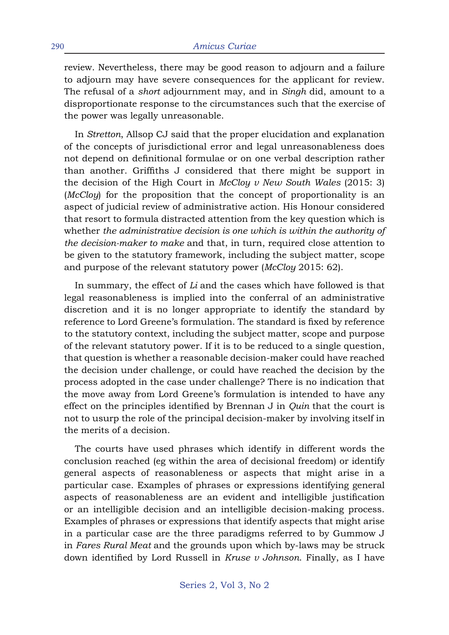review. Nevertheless, there may be good reason to adjourn and a failure to adjourn may have severe consequences for the applicant for review. The refusal of a *short* adjournment may, and in *Singh* did, amount to a disproportionate response to the circumstances such that the exercise of the power was legally unreasonable.

In *Stretton*, Allsop CJ said that the proper elucidation and explanation of the concepts of jurisdictional error and legal unreasonableness does not depend on definitional formulae or on one verbal description rather than another. Griffiths J considered that there might be support in the decision of the High Court in *McCloy v New South Wales* (2015: 3) (*McCloy*) for the proposition that the concept of proportionality is an aspect of judicial review of administrative action. His Honour considered that resort to formula distracted attention from the key question which is whether *the administrative decision is one which is within the authority of the decision-maker to make* and that, in turn, required close attention to be given to the statutory framework, including the subject matter, scope and purpose of the relevant statutory power (*McCloy* 2015: 62).

In summary, the effect of *Li* and the cases which have followed is that legal reasonableness is implied into the conferral of an administrative discretion and it is no longer appropriate to identify the standard by reference to Lord Greene's formulation. The standard is fixed by reference to the statutory context, including the subject matter, scope and purpose of the relevant statutory power. If it is to be reduced to a single question, that question is whether a reasonable decision-maker could have reached the decision under challenge, or could have reached the decision by the process adopted in the case under challenge? There is no indication that the move away from Lord Greene's formulation is intended to have any effect on the principles identified by Brennan J in *Quin* that the court is not to usurp the role of the principal decision-maker by involving itself in the merits of a decision.

The courts have used phrases which identify in different words the conclusion reached (eg within the area of decisional freedom) or identify general aspects of reasonableness or aspects that might arise in a particular case. Examples of phrases or expressions identifying general aspects of reasonableness are an evident and intelligible justification or an intelligible decision and an intelligible decision-making process. Examples of phrases or expressions that identify aspects that might arise in a particular case are the three paradigms referred to by Gummow J in *Fares Rural Meat* and the grounds upon which by-laws may be struck down identified by Lord Russell in *Kruse v Johnson*. Finally, as I have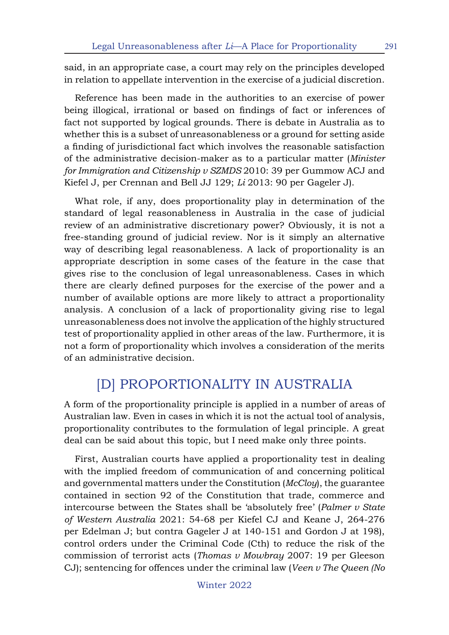said, in an appropriate case, a court may rely on the principles developed in relation to appellate intervention in the exercise of a judicial discretion.

Reference has been made in the authorities to an exercise of power being illogical, irrational or based on findings of fact or inferences of fact not supported by logical grounds. There is debate in Australia as to whether this is a subset of unreasonableness or a ground for setting aside a finding of jurisdictional fact which involves the reasonable satisfaction of the administrative decision-maker as to a particular matter (*Minister for Immigration and Citizenship v SZMDS* 2010: 39 per Gummow ACJ and Kiefel J, per Crennan and Bell JJ 129; *Li* 2013: 90 per Gageler J).

What role, if any, does proportionality play in determination of the standard of legal reasonableness in Australia in the case of judicial review of an administrative discretionary power? Obviously, it is not a free-standing ground of judicial review. Nor is it simply an alternative way of describing legal reasonableness. A lack of proportionality is an appropriate description in some cases of the feature in the case that gives rise to the conclusion of legal unreasonableness. Cases in which there are clearly defined purposes for the exercise of the power and a number of available options are more likely to attract a proportionality analysis. A conclusion of a lack of proportionality giving rise to legal unreasonableness does not involve the application of the highly structured test of proportionality applied in other areas of the law. Furthermore, it is not a form of proportionality which involves a consideration of the merits of an administrative decision.

## [D] PROPORTIONALITY IN AUSTRALIA

A form of the proportionality principle is applied in a number of areas of Australian law. Even in cases in which it is not the actual tool of analysis, proportionality contributes to the formulation of legal principle. A great deal can be said about this topic, but I need make only three points.

First, Australian courts have applied a proportionality test in dealing with the implied freedom of communication of and concerning political and governmental matters under the Constitution (*McCloy*), the guarantee contained in section 92 of the Constitution that trade, commerce and intercourse between the States shall be 'absolutely free' (*Palmer v State of Western Australia* 2021: 54-68 per Kiefel CJ and Keane J, 264-276 per Edelman J; but contra Gageler J at 140-151 and Gordon J at 198), control orders under the Criminal Code (Cth) to reduce the risk of the commission of terrorist acts (*Thomas v Mowbray* 2007: 19 per Gleeson CJ); sentencing for offences under the criminal law (*Veen v The Queen (No*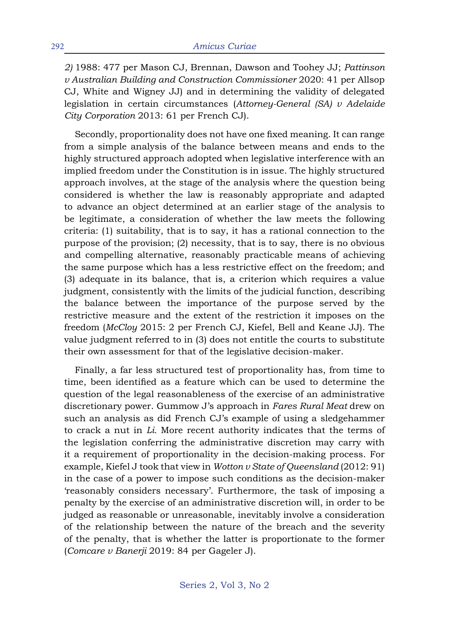*2)* 1988: 477 per Mason CJ, Brennan, Dawson and Toohey JJ; *Pattinson v Australian Building and Construction Commissioner* 2020: 41 per Allsop CJ, White and Wigney JJ) and in determining the validity of delegated legislation in certain circumstances (*Attorney-General (SA) v Adelaide City Corporation* 2013: 61 per French CJ).

Secondly, proportionality does not have one fixed meaning. It can range from a simple analysis of the balance between means and ends to the highly structured approach adopted when legislative interference with an implied freedom under the Constitution is in issue. The highly structured approach involves, at the stage of the analysis where the question being considered is whether the law is reasonably appropriate and adapted to advance an object determined at an earlier stage of the analysis to be legitimate, a consideration of whether the law meets the following criteria: (1) suitability, that is to say, it has a rational connection to the purpose of the provision; (2) necessity, that is to say, there is no obvious and compelling alternative, reasonably practicable means of achieving the same purpose which has a less restrictive effect on the freedom; and (3) adequate in its balance, that is, a criterion which requires a value judgment, consistently with the limits of the judicial function, describing the balance between the importance of the purpose served by the restrictive measure and the extent of the restriction it imposes on the freedom (*McCloy* 2015: 2 per French CJ, Kiefel, Bell and Keane JJ). The value judgment referred to in (3) does not entitle the courts to substitute their own assessment for that of the legislative decision-maker.

Finally, a far less structured test of proportionality has, from time to time, been identified as a feature which can be used to determine the question of the legal reasonableness of the exercise of an administrative discretionary power. Gummow J's approach in *Fares Rural Meat* drew on such an analysis as did French CJ's example of using a sledgehammer to crack a nut in *Li.* More recent authority indicates that the terms of the legislation conferring the administrative discretion may carry with it a requirement of proportionality in the decision-making process. For example, Kiefel J took that view in *Wotton v State of Queensland* (2012: 91) in the case of a power to impose such conditions as the decision-maker 'reasonably considers necessary'. Furthermore, the task of imposing a penalty by the exercise of an administrative discretion will, in order to be judged as reasonable or unreasonable, inevitably involve a consideration of the relationship between the nature of the breach and the severity of the penalty, that is whether the latter is proportionate to the former (*Comcare v Banerji* 2019: 84 per Gageler J).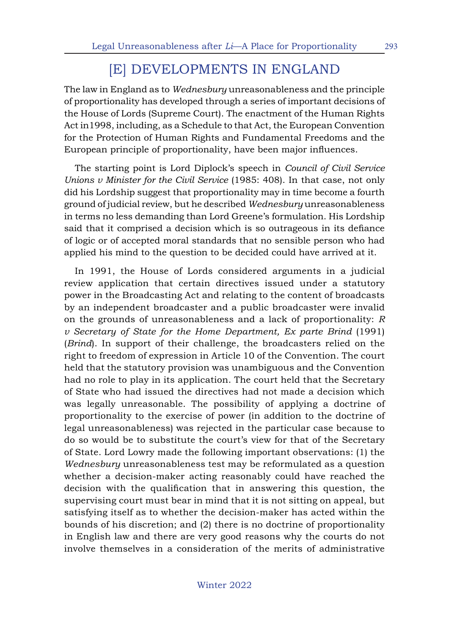## [E] DEVELOPMENTS IN ENGLAND

The law in England as to *Wednesbury* unreasonableness and the principle of proportionality has developed through a series of important decisions of the House of Lords (Supreme Court). The enactment of the Human Rights Act in1998, including, as a Schedule to that Act, the European Convention for the Protection of Human Rights and Fundamental Freedoms and the European principle of proportionality, have been major influences.

The starting point is Lord Diplock's speech in *Council of Civil Service Unions v Minister for the Civil Service* (1985: 408). In that case, not only did his Lordship suggest that proportionality may in time become a fourth ground of judicial review, but he described *Wednesbury* unreasonableness in terms no less demanding than Lord Greene's formulation. His Lordship said that it comprised a decision which is so outrageous in its defiance of logic or of accepted moral standards that no sensible person who had applied his mind to the question to be decided could have arrived at it.

In 1991, the House of Lords considered arguments in a judicial review application that certain directives issued under a statutory power in the Broadcasting Act and relating to the content of broadcasts by an independent broadcaster and a public broadcaster were invalid on the grounds of unreasonableness and a lack of proportionality: *R v Secretary of State for the Home Department, Ex parte Brind* (1991) (*Brind*). In support of their challenge, the broadcasters relied on the right to freedom of expression in Article 10 of the Convention. The court held that the statutory provision was unambiguous and the Convention had no role to play in its application. The court held that the Secretary of State who had issued the directives had not made a decision which was legally unreasonable. The possibility of applying a doctrine of proportionality to the exercise of power (in addition to the doctrine of legal unreasonableness) was rejected in the particular case because to do so would be to substitute the court's view for that of the Secretary of State. Lord Lowry made the following important observations: (1) the *Wednesbury* unreasonableness test may be reformulated as a question whether a decision-maker acting reasonably could have reached the decision with the qualification that in answering this question, the supervising court must bear in mind that it is not sitting on appeal, but satisfying itself as to whether the decision-maker has acted within the bounds of his discretion; and (2) there is no doctrine of proportionality in English law and there are very good reasons why the courts do not involve themselves in a consideration of the merits of administrative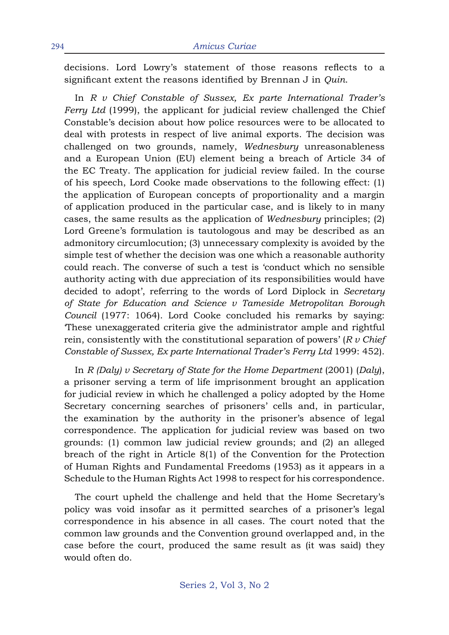decisions. Lord Lowry's statement of those reasons reflects to a significant extent the reasons identified by Brennan J in *Quin*.

In *R v Chief Constable of Sussex, Ex parte International Trader's Ferry Ltd* (1999), the applicant for judicial review challenged the Chief Constable's decision about how police resources were to be allocated to deal with protests in respect of live animal exports. The decision was challenged on two grounds, namely, *Wednesbury* unreasonableness and a European Union (EU) element being a breach of Article 34 of the EC Treaty. The application for judicial review failed. In the course of his speech, Lord Cooke made observations to the following effect: (1) the application of European concepts of proportionality and a margin of application produced in the particular case, and is likely to in many cases, the same results as the application of *Wednesbury* principles; (2) Lord Greene's formulation is tautologous and may be described as an admonitory circumlocution; (3) unnecessary complexity is avoided by the simple test of whether the decision was one which a reasonable authority could reach. The converse of such a test is 'conduct which no sensible authority acting with due appreciation of its responsibilities would have decided to adopt', referring to the words of Lord Diplock in *Secretary of State for Education and Science v Tameside Metropolitan Borough Council* (1977: 1064). Lord Cooke concluded his remarks by saying: 'These unexaggerated criteria give the administrator ample and rightful rein, consistently with the constitutional separation of powers' (*R v Chief Constable of Sussex, Ex parte International Trader's Ferry Ltd* 1999: 452).

In *R (Daly) v Secretary of State for the Home Department* (2001) (*Daly*), a prisoner serving a term of life imprisonment brought an application for judicial review in which he challenged a policy adopted by the Home Secretary concerning searches of prisoners' cells and, in particular, the examination by the authority in the prisoner's absence of legal correspondence. The application for judicial review was based on two grounds: (1) common law judicial review grounds; and (2) an alleged breach of the right in Article 8(1) of the Convention for the Protection of Human Rights and Fundamental Freedoms (1953) as it appears in a Schedule to the Human Rights Act 1998 to respect for his correspondence.

The court upheld the challenge and held that the Home Secretary's policy was void insofar as it permitted searches of a prisoner's legal correspondence in his absence in all cases. The court noted that the common law grounds and the Convention ground overlapped and, in the case before the court, produced the same result as (it was said) they would often do.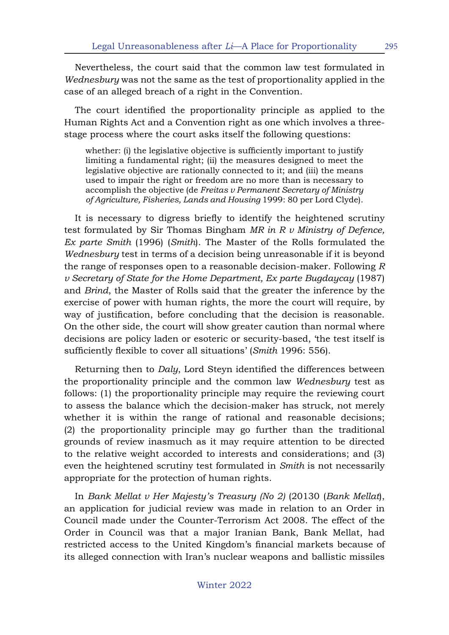Nevertheless, the court said that the common law test formulated in *Wednesbury* was not the same as the test of proportionality applied in the case of an alleged breach of a right in the Convention.

The court identified the proportionality principle as applied to the Human Rights Act and a Convention right as one which involves a threestage process where the court asks itself the following questions:

whether: (i) the legislative objective is sufficiently important to justify limiting a fundamental right; (ii) the measures designed to meet the legislative objective are rationally connected to it; and (iii) the means used to impair the right or freedom are no more than is necessary to accomplish the objective (de *Freitas v Permanent Secretary of Ministry of Agriculture, Fisheries, Lands and Housing* 1999: 80 per Lord Clyde).

It is necessary to digress briefly to identify the heightened scrutiny test formulated by Sir Thomas Bingham *MR in R v Ministry of Defence, Ex parte Smith* (1996) (*Smith*). The Master of the Rolls formulated the *Wednesbury* test in terms of a decision being unreasonable if it is beyond the range of responses open to a reasonable decision-maker. Following *R v Secretary of State for the Home Department, Ex parte Bugdaycay* (1987) and *Brind*, the Master of Rolls said that the greater the inference by the exercise of power with human rights, the more the court will require, by way of justification, before concluding that the decision is reasonable. On the other side, the court will show greater caution than normal where decisions are policy laden or esoteric or security-based, 'the test itself is sufficiently flexible to cover all situations' (*Smith* 1996: 556).

Returning then to *Daly*, Lord Steyn identified the differences between the proportionality principle and the common law *Wednesbury* test as follows: (1) the proportionality principle may require the reviewing court to assess the balance which the decision-maker has struck, not merely whether it is within the range of rational and reasonable decisions; (2) the proportionality principle may go further than the traditional grounds of review inasmuch as it may require attention to be directed to the relative weight accorded to interests and considerations; and (3) even the heightened scrutiny test formulated in *Smith* is not necessarily appropriate for the protection of human rights.

In *Bank Mellat v Her Majesty's Treasury (No 2)* (20130 (*Bank Mellat*), an application for judicial review was made in relation to an Order in Council made under the Counter-Terrorism Act 2008. The effect of the Order in Council was that a major Iranian Bank, Bank Mellat, had restricted access to the United Kingdom's financial markets because of its alleged connection with Iran's nuclear weapons and ballistic missiles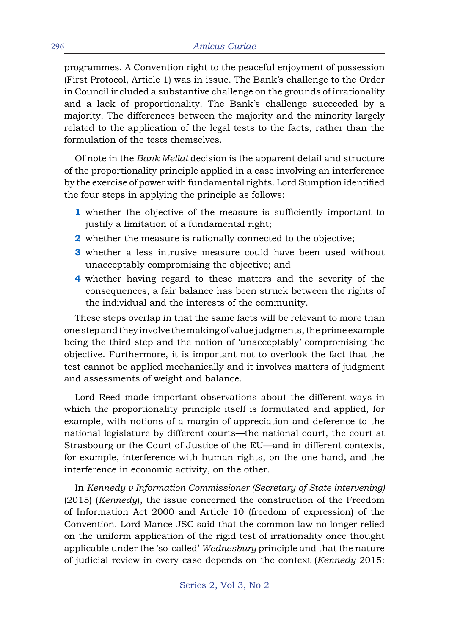programmes. A Convention right to the peaceful enjoyment of possession (First Protocol, Article 1) was in issue. The Bank's challenge to the Order in Council included a substantive challenge on the grounds of irrationality and a lack of proportionality. The Bank's challenge succeeded by a majority. The differences between the majority and the minority largely related to the application of the legal tests to the facts, rather than the formulation of the tests themselves.

Of note in the *Bank Mellat* decision is the apparent detail and structure of the proportionality principle applied in a case involving an interference by the exercise of power with fundamental rights. Lord Sumption identified the four steps in applying the principle as follows:

- **1** whether the objective of the measure is sufficiently important to justify a limitation of a fundamental right;
- **2** whether the measure is rationally connected to the objective;
- **3** whether a less intrusive measure could have been used without unacceptably compromising the objective; and
- **4** whether having regard to these matters and the severity of the consequences, a fair balance has been struck between the rights of the individual and the interests of the community.

These steps overlap in that the same facts will be relevant to more than one step and they involve the making of value judgments, the prime example being the third step and the notion of 'unacceptably' compromising the objective. Furthermore, it is important not to overlook the fact that the test cannot be applied mechanically and it involves matters of judgment and assessments of weight and balance.

Lord Reed made important observations about the different ways in which the proportionality principle itself is formulated and applied, for example, with notions of a margin of appreciation and deference to the national legislature by different courts—the national court, the court at Strasbourg or the Court of Justice of the EU—and in different contexts, for example, interference with human rights, on the one hand, and the interference in economic activity, on the other.

In *Kennedy v Information Commissioner (Secretary of State intervening)*  (2015) (*Kennedy*), the issue concerned the construction of the Freedom of Information Act 2000 and Article 10 (freedom of expression) of the Convention. Lord Mance JSC said that the common law no longer relied on the uniform application of the rigid test of irrationality once thought applicable under the 'so-called' *Wednesbury* principle and that the nature of judicial review in every case depends on the context (*Kennedy* 2015: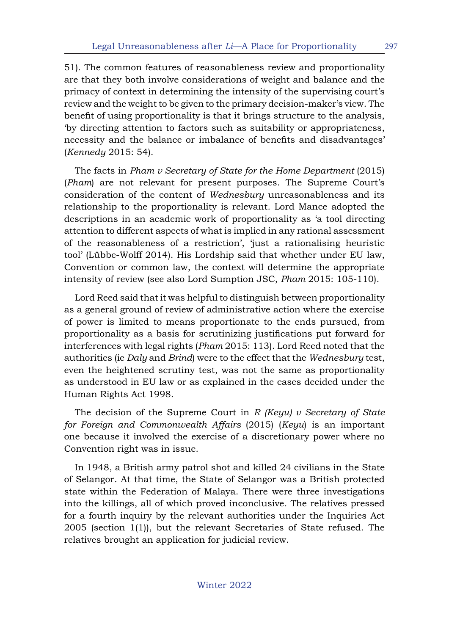51). The common features of reasonableness review and proportionality are that they both involve considerations of weight and balance and the primacy of context in determining the intensity of the supervising court's review and the weight to be given to the primary decision-maker's view. The benefit of using proportionality is that it brings structure to the analysis, 'by directing attention to factors such as suitability or appropriateness, necessity and the balance or imbalance of benefits and disadvantages' (*Kennedy* 2015: 54).

The facts in *Pham v Secretary of State for the Home Department* (2015) (*Pham*) are not relevant for present purposes. The Supreme Court's consideration of the content of *Wednesbury* unreasonableness and its relationship to the proportionality is relevant. Lord Mance adopted the descriptions in an academic work of proportionality as 'a tool directing attention to different aspects of what is implied in any rational assessment of the reasonableness of a restriction', 'just a rationalising heuristic tool' (Lübbe-Wolff 2014). His Lordship said that whether under EU law, Convention or common law, the context will determine the appropriate intensity of review (see also Lord Sumption JSC, *Pham* 2015: 105-110).

Lord Reed said that it was helpful to distinguish between proportionality as a general ground of review of administrative action where the exercise of power is limited to means proportionate to the ends pursued, from proportionality as a basis for scrutinizing justifications put forward for interferences with legal rights (*Pham* 2015: 113). Lord Reed noted that the authorities (ie *Daly* and *Brind*) were to the effect that the *Wednesbury* test, even the heightened scrutiny test, was not the same as proportionality as understood in EU law or as explained in the cases decided under the Human Rights Act 1998.

The decision of the Supreme Court in *R (Keyu) v Secretary of State for Foreign and Commonwealth Affairs* (2015) (*Keyu*) is an important one because it involved the exercise of a discretionary power where no Convention right was in issue.

In 1948, a British army patrol shot and killed 24 civilians in the State of Selangor. At that time, the State of Selangor was a British protected state within the Federation of Malaya. There were three investigations into the killings, all of which proved inconclusive. The relatives pressed for a fourth inquiry by the relevant authorities under the Inquiries Act 2005 (section 1(1)), but the relevant Secretaries of State refused. The relatives brought an application for judicial review.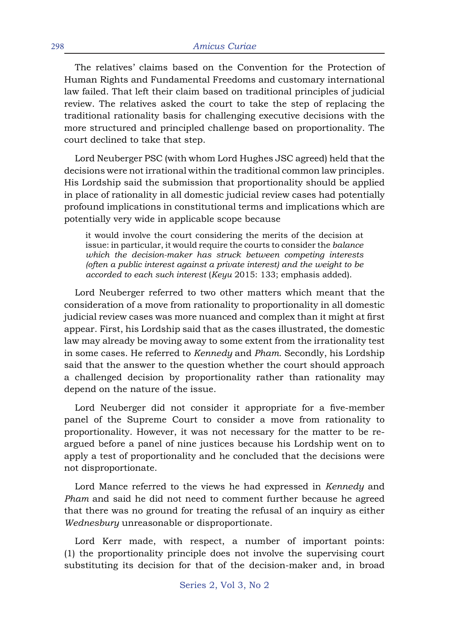The relatives' claims based on the Convention for the Protection of Human Rights and Fundamental Freedoms and customary international law failed. That left their claim based on traditional principles of judicial review. The relatives asked the court to take the step of replacing the traditional rationality basis for challenging executive decisions with the more structured and principled challenge based on proportionality. The court declined to take that step.

Lord Neuberger PSC (with whom Lord Hughes JSC agreed) held that the decisions were not irrational within the traditional common law principles. His Lordship said the submission that proportionality should be applied in place of rationality in all domestic judicial review cases had potentially profound implications in constitutional terms and implications which are potentially very wide in applicable scope because

it would involve the court considering the merits of the decision at issue: in particular, it would require the courts to consider the *balance which the decision-maker has struck between competing interests (often a public interest against a private interest) and the weight to be accorded to each such interest* (*Keyu* 2015: 133; emphasis added).

Lord Neuberger referred to two other matters which meant that the consideration of a move from rationality to proportionality in all domestic judicial review cases was more nuanced and complex than it might at first appear. First, his Lordship said that as the cases illustrated, the domestic law may already be moving away to some extent from the irrationality test in some cases. He referred to *Kennedy* and *Pham*. Secondly, his Lordship said that the answer to the question whether the court should approach a challenged decision by proportionality rather than rationality may depend on the nature of the issue.

Lord Neuberger did not consider it appropriate for a five-member panel of the Supreme Court to consider a move from rationality to proportionality. However, it was not necessary for the matter to be reargued before a panel of nine justices because his Lordship went on to apply a test of proportionality and he concluded that the decisions were not disproportionate.

Lord Mance referred to the views he had expressed in *Kennedy* and *Pham* and said he did not need to comment further because he agreed that there was no ground for treating the refusal of an inquiry as either *Wednesbury* unreasonable or disproportionate.

Lord Kerr made, with respect, a number of important points: (1) the proportionality principle does not involve the supervising court substituting its decision for that of the decision-maker and, in broad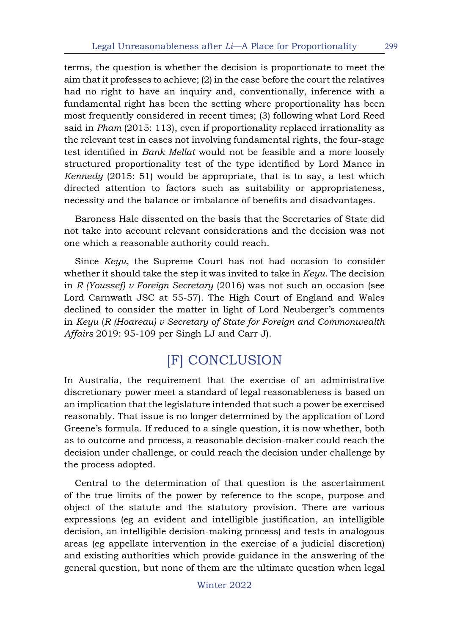terms, the question is whether the decision is proportionate to meet the aim that it professes to achieve; (2) in the case before the court the relatives had no right to have an inquiry and, conventionally, inference with a fundamental right has been the setting where proportionality has been most frequently considered in recent times; (3) following what Lord Reed said in *Pham* (2015: 113), even if proportionality replaced irrationality as the relevant test in cases not involving fundamental rights, the four-stage test identified in *Bank Mellat* would not be feasible and a more loosely structured proportionality test of the type identified by Lord Mance in *Kennedy* (2015: 51) would be appropriate, that is to say, a test which directed attention to factors such as suitability or appropriateness, necessity and the balance or imbalance of benefits and disadvantages.

Baroness Hale dissented on the basis that the Secretaries of State did not take into account relevant considerations and the decision was not one which a reasonable authority could reach.

Since *Keyu*, the Supreme Court has not had occasion to consider whether it should take the step it was invited to take in *Keyu*. The decision in *R (Youssef) v Foreign Secretary* (2016) was not such an occasion (see Lord Carnwath JSC at 55-57). The High Court of England and Wales declined to consider the matter in light of Lord Neuberger's comments in *Keyu* (*R (Hoareau) v Secretary of State for Foreign and Commonwealth Affairs* 2019: 95-109 per Singh LJ and Carr J).

# [F] CONCLUSION

In Australia, the requirement that the exercise of an administrative discretionary power meet a standard of legal reasonableness is based on an implication that the legislature intended that such a power be exercised reasonably. That issue is no longer determined by the application of Lord Greene's formula. If reduced to a single question, it is now whether, both as to outcome and process, a reasonable decision-maker could reach the decision under challenge, or could reach the decision under challenge by the process adopted.

Central to the determination of that question is the ascertainment of the true limits of the power by reference to the scope, purpose and object of the statute and the statutory provision. There are various expressions (eg an evident and intelligible justification, an intelligible decision, an intelligible decision-making process) and tests in analogous areas (eg appellate intervention in the exercise of a judicial discretion) and existing authorities which provide guidance in the answering of the general question, but none of them are the ultimate question when legal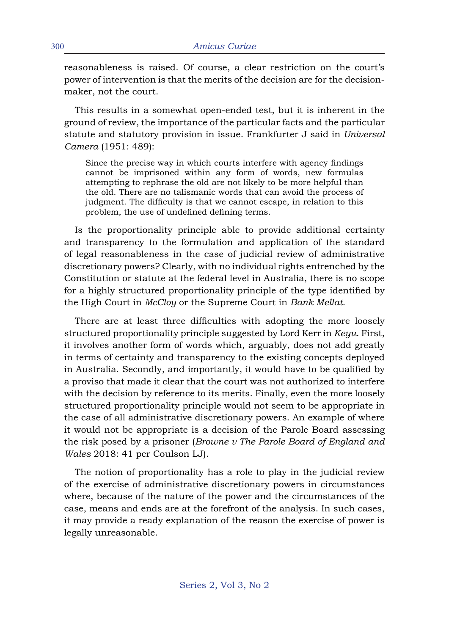reasonableness is raised. Of course, a clear restriction on the court's power of intervention is that the merits of the decision are for the decisionmaker, not the court.

This results in a somewhat open-ended test, but it is inherent in the ground of review, the importance of the particular facts and the particular statute and statutory provision in issue. Frankfurter J said in *Universal Camera* (1951: 489):

Since the precise way in which courts interfere with agency findings cannot be imprisoned within any form of words, new formulas attempting to rephrase the old are not likely to be more helpful than the old. There are no talismanic words that can avoid the process of judgment. The difficulty is that we cannot escape, in relation to this problem, the use of undefined defining terms.

Is the proportionality principle able to provide additional certainty and transparency to the formulation and application of the standard of legal reasonableness in the case of judicial review of administrative discretionary powers? Clearly, with no individual rights entrenched by the Constitution or statute at the federal level in Australia, there is no scope for a highly structured proportionality principle of the type identified by the High Court in *McCloy* or the Supreme Court in *Bank Mellat*.

There are at least three difficulties with adopting the more loosely structured proportionality principle suggested by Lord Kerr in *Keyu*. First, it involves another form of words which, arguably, does not add greatly in terms of certainty and transparency to the existing concepts deployed in Australia. Secondly, and importantly, it would have to be qualified by a proviso that made it clear that the court was not authorized to interfere with the decision by reference to its merits. Finally, even the more loosely structured proportionality principle would not seem to be appropriate in the case of all administrative discretionary powers. An example of where it would not be appropriate is a decision of the Parole Board assessing the risk posed by a prisoner (*Browne v The Parole Board of England and Wales* 2018: 41 per Coulson LJ).

The notion of proportionality has a role to play in the judicial review of the exercise of administrative discretionary powers in circumstances where, because of the nature of the power and the circumstances of the case, means and ends are at the forefront of the analysis. In such cases, it may provide a ready explanation of the reason the exercise of power is legally unreasonable.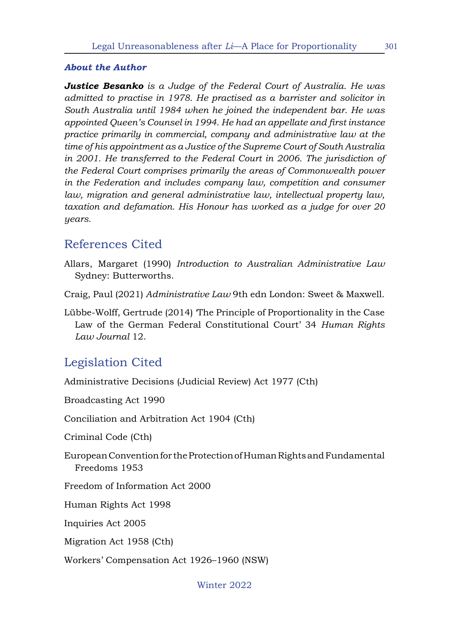#### *About the Author*

*Justice Besanko is a Judge of the Federal Court of Australia. He was admitted to practise in 1978. He practised as a barrister and solicitor in South Australia until 1984 when he joined the independent bar. He was appointed Queen's Counsel in 1994. He had an appellate and first instance practice primarily in commercial, company and administrative law at the time of his appointment as a Justice of the Supreme Court of South Australia in 2001. He transferred to the Federal Court in 2006. The jurisdiction of the Federal Court comprises primarily the areas of Commonwealth power in the Federation and includes company law, competition and consumer law, migration and general administrative law, intellectual property law, taxation and defamation. His Honour has worked as a judge for over 20 years.*

#### References Cited

Allars, Margaret (1990) *Introduction to Australian Administrative Law*  Sydney: Butterworths.

Craig, Paul (2021) *Administrative Law* 9th edn London: Sweet & Maxwell.

Lübbe-Wolff, Gertrude (2014) 'The Principle of Proportionality in the Case Law of the German Federal Constitutional Court' 34 *Human Rights Law Journal* 12.

#### Legislation Cited

Administrative Decisions (Judicial Review) Act 1977 (Cth)

Broadcasting Act 1990

Conciliation and Arbitration Act 1904 (Cth)

Criminal Code (Cth)

European Convention for the Protection of Human Rights and Fundamental Freedoms 1953

Freedom of Information Act 2000

Human Rights Act 1998

Inquiries Act 2005

Migration Act 1958 (Cth)

Workers' Compensation Act 1926–1960 (NSW)

Winter 2022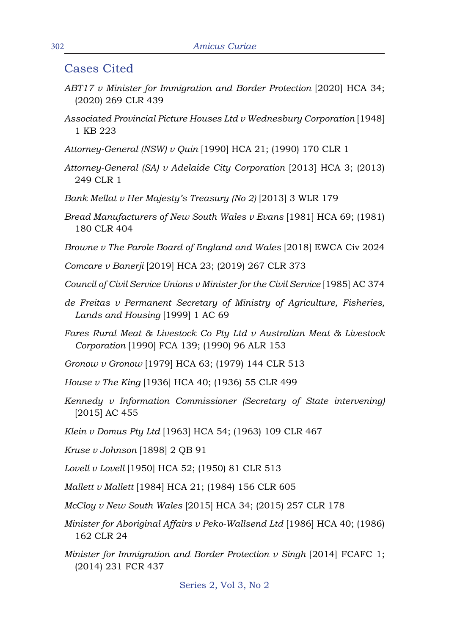#### Cases Cited

- *ABT17 v Minister for Immigration and Border Protection* [2020] HCA 34; (2020) 269 CLR 439
- *Associated Provincial Picture Houses Ltd v Wednesbury Corporation* [1948] 1 KB 223
- *Attorney-General (NSW) v Quin* [1990] HCA 21; (1990) 170 CLR 1
- *Attorney-General (SA) v Adelaide City Corporation* [2013] HCA 3; (2013) 249 CLR 1
- *Bank Mellat v Her Majesty's Treasury (No 2)* [2013] 3 WLR 179
- *Bread Manufacturers of New South Wales v Evans* [1981] HCA 69; (1981) 180 CLR 404
- *Browne v The Parole Board of England and Wales* [2018] EWCA Civ 2024
- *Comcare v Banerji* [2019] HCA 23; (2019) 267 CLR 373
- *Council of Civil Service Unions v Minister for the Civil Service* [1985] AC 374
- *de Freitas v Permanent Secretary of Ministry of Agriculture, Fisheries, Lands and Housing* [1999] 1 AC 69
- *Fares Rural Meat & Livestock Co Pty Ltd v Australian Meat & Livestock Corporation* [1990] FCA 139; (1990) 96 ALR 153
- *Gronow v Gronow* [1979] HCA 63; (1979) 144 CLR 513
- *House v The King* [1936] HCA 40; (1936) 55 CLR 499
- *Kennedy v Information Commissioner (Secretary of State intervening)*  [2015] AC 455
- *Klein v Domus Pty Ltd* [1963] HCA 54; (1963) 109 CLR 467
- *Kruse v Johnson* [1898] 2 QB 91
- *Lovell v Lovell* [1950] HCA 52; (1950) 81 CLR 513
- *Mallett v Mallett* [1984] HCA 21; (1984) 156 CLR 605
- *McCloy v New South Wales* [2015] HCA 34; (2015) 257 CLR 178
- *Minister for Aboriginal Affairs v Peko-Wallsend Ltd* [1986] HCA 40; (1986) 162 CLR 24
- *Minister for Immigration and Border Protection v Singh* [2014] FCAFC 1; (2014) 231 FCR 437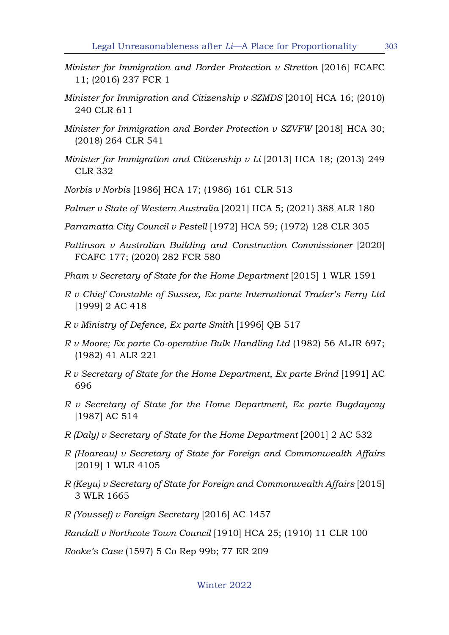- *Minister for Immigration and Border Protection v Stretton* [2016] FCAFC 11; (2016) 237 FCR 1
- *Minister for Immigration and Citizenship v SZMDS* [2010] HCA 16; (2010) 240 CLR 611
- *Minister for Immigration and Border Protection v SZVFW* [2018] HCA 30; (2018) 264 CLR 541
- *Minister for Immigration and Citizenship v Li* [2013] HCA 18; (2013) 249 CLR 332
- *Norbis v Norbis* [1986] HCA 17; (1986) 161 CLR 513
- *Palmer v State of Western Australia* [2021] HCA 5; (2021) 388 ALR 180
- *Parramatta City Council v Pestell* [1972] HCA 59; (1972) 128 CLR 305
- *Pattinson v Australian Building and Construction Commissioner* [2020] FCAFC 177; (2020) 282 FCR 580
- *Pham v Secretary of State for the Home Department* [2015] 1 WLR 1591
- *R v Chief Constable of Sussex, Ex parte International Trader's Ferry Ltd*  [1999] 2 AC 418
- *R v Ministry of Defence, Ex parte Smith* [1996] QB 517
- *R v Moore; Ex parte Co-operative Bulk Handling Ltd* (1982) 56 ALJR 697; (1982) 41 ALR 221
- *R v Secretary of State for the Home Department, Ex parte Brind* [1991] AC 696
- *R v Secretary of State for the Home Department, Ex parte Bugdaycay* [1987] AC 514
- *R (Daly) v Secretary of State for the Home Department* [2001] 2 AC 532
- *R (Hoareau) v Secretary of State for Foreign and Commonwealth Affairs*  [2019] 1 WLR 4105
- *R (Keyu) v Secretary of State for Foreign and Commonwealth Affairs* [2015] 3 WLR 1665
- *R (Youssef) v Foreign Secretary* [2016] AC 1457

*Randall v Northcote Town Council* [1910] HCA 25; (1910) 11 CLR 100

*Rooke's Case* (1597) 5 Co Rep 99b; 77 ER 209